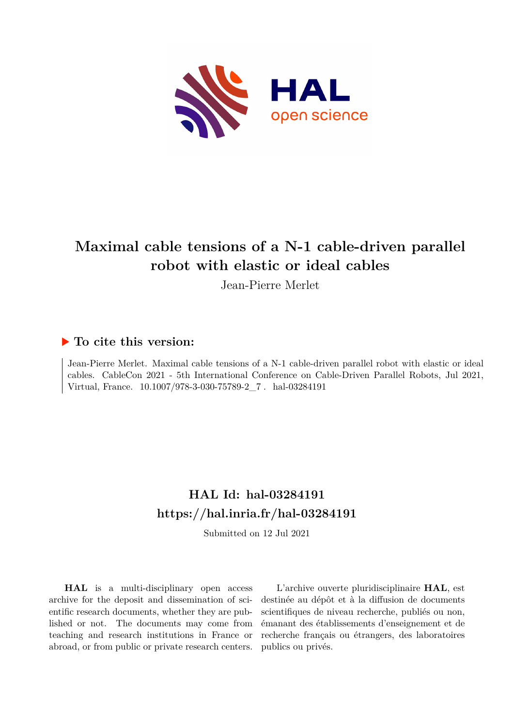

# **Maximal cable tensions of a N-1 cable-driven parallel robot with elastic or ideal cables**

Jean-Pierre Merlet

# **To cite this version:**

Jean-Pierre Merlet. Maximal cable tensions of a N-1 cable-driven parallel robot with elastic or ideal cables. CableCon 2021 - 5th International Conference on Cable-Driven Parallel Robots, Jul 2021, Virtual, France.  $10.1007/978-3-030-75789-2\_7$ . hal-03284191

# **HAL Id: hal-03284191 <https://hal.inria.fr/hal-03284191>**

Submitted on 12 Jul 2021

**HAL** is a multi-disciplinary open access archive for the deposit and dissemination of scientific research documents, whether they are published or not. The documents may come from teaching and research institutions in France or abroad, or from public or private research centers.

L'archive ouverte pluridisciplinaire **HAL**, est destinée au dépôt et à la diffusion de documents scientifiques de niveau recherche, publiés ou non, émanant des établissements d'enseignement et de recherche français ou étrangers, des laboratoires publics ou privés.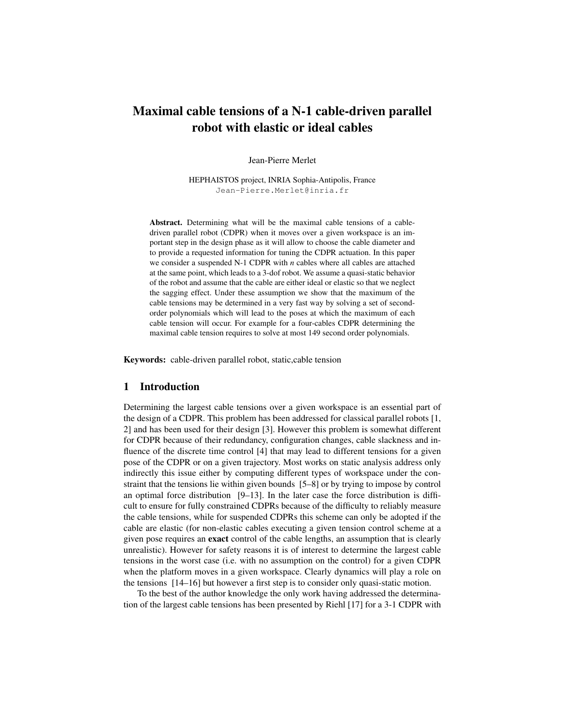# Maximal cable tensions of a N-1 cable-driven parallel robot with elastic or ideal cables

Jean-Pierre Merlet

HEPHAISTOS project, INRIA Sophia-Antipolis, France Jean-Pierre.Merlet@inria.fr

Abstract. Determining what will be the maximal cable tensions of a cabledriven parallel robot (CDPR) when it moves over a given workspace is an important step in the design phase as it will allow to choose the cable diameter and to provide a requested information for tuning the CDPR actuation. In this paper we consider a suspended N-1 CDPR with *n* cables where all cables are attached at the same point, which leads to a 3-dof robot. We assume a quasi-static behavior of the robot and assume that the cable are either ideal or elastic so that we neglect the sagging effect. Under these assumption we show that the maximum of the cable tensions may be determined in a very fast way by solving a set of secondorder polynomials which will lead to the poses at which the maximum of each cable tension will occur. For example for a four-cables CDPR determining the maximal cable tension requires to solve at most 149 second order polynomials.

Keywords: cable-driven parallel robot, static,cable tension

### 1 Introduction

Determining the largest cable tensions over a given workspace is an essential part of the design of a CDPR. This problem has been addressed for classical parallel robots [1, 2] and has been used for their design [3]. However this problem is somewhat different for CDPR because of their redundancy, configuration changes, cable slackness and influence of the discrete time control [4] that may lead to different tensions for a given pose of the CDPR or on a given trajectory. Most works on static analysis address only indirectly this issue either by computing different types of workspace under the constraint that the tensions lie within given bounds [5–8] or by trying to impose by control an optimal force distribution [9–13]. In the later case the force distribution is difficult to ensure for fully constrained CDPRs because of the difficulty to reliably measure the cable tensions, while for suspended CDPRs this scheme can only be adopted if the cable are elastic (for non-elastic cables executing a given tension control scheme at a given pose requires an exact control of the cable lengths, an assumption that is clearly unrealistic). However for safety reasons it is of interest to determine the largest cable tensions in the worst case (i.e. with no assumption on the control) for a given CDPR when the platform moves in a given workspace. Clearly dynamics will play a role on the tensions [14–16] but however a first step is to consider only quasi-static motion.

To the best of the author knowledge the only work having addressed the determination of the largest cable tensions has been presented by Riehl [17] for a 3-1 CDPR with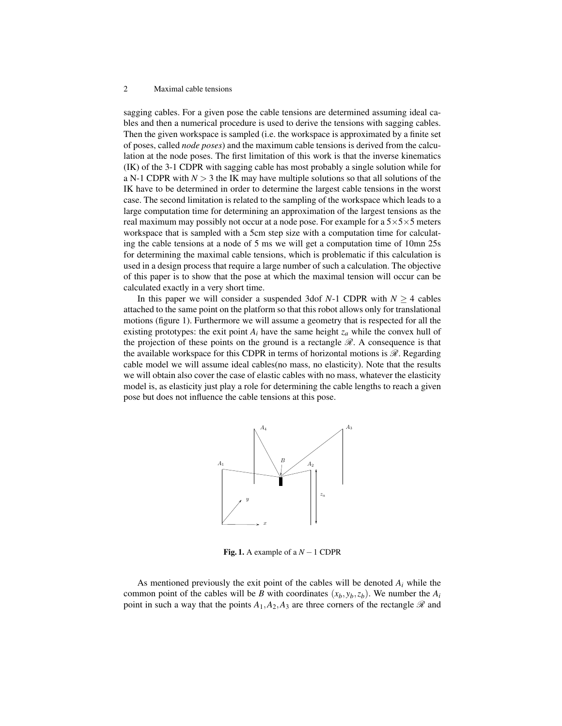sagging cables. For a given pose the cable tensions are determined assuming ideal cables and then a numerical procedure is used to derive the tensions with sagging cables. Then the given workspace is sampled (i.e. the workspace is approximated by a finite set of poses, called *node poses*) and the maximum cable tensions is derived from the calculation at the node poses. The first limitation of this work is that the inverse kinematics (IK) of the 3-1 CDPR with sagging cable has most probably a single solution while for a N-1 CDPR with  $N > 3$  the IK may have multiple solutions so that all solutions of the IK have to be determined in order to determine the largest cable tensions in the worst case. The second limitation is related to the sampling of the workspace which leads to a large computation time for determining an approximation of the largest tensions as the real maximum may possibly not occur at a node pose. For example for a  $5\times5\times5$  meters workspace that is sampled with a 5cm step size with a computation time for calculating the cable tensions at a node of 5 ms we will get a computation time of 10mn 25s for determining the maximal cable tensions, which is problematic if this calculation is used in a design process that require a large number of such a calculation. The objective of this paper is to show that the pose at which the maximal tension will occur can be calculated exactly in a very short time.

In this paper we will consider a suspended 3dof *N*-1 CDPR with  $N \geq 4$  cables attached to the same point on the platform so that this robot allows only for translational motions (figure 1). Furthermore we will assume a geometry that is respected for all the existing prototypes: the exit point  $A_i$  have the same height  $z_a$  while the convex hull of the projection of these points on the ground is a rectangle  $\mathcal{R}$ . A consequence is that the available workspace for this CDPR in terms of horizontal motions is  $\mathcal{R}$ . Regarding cable model we will assume ideal cables(no mass, no elasticity). Note that the results we will obtain also cover the case of elastic cables with no mass, whatever the elasticity model is, as elasticity just play a role for determining the cable lengths to reach a given pose but does not influence the cable tensions at this pose.



Fig. 1. A example of a  $N-1$  CDPR

As mentioned previously the exit point of the cables will be denoted *A<sup>i</sup>* while the common point of the cables will be *B* with coordinates  $(x_b, y_b, z_b)$ . We number the  $A_i$ point in such a way that the points  $A_1, A_2, A_3$  are three corners of the rectangle  $\mathscr R$  and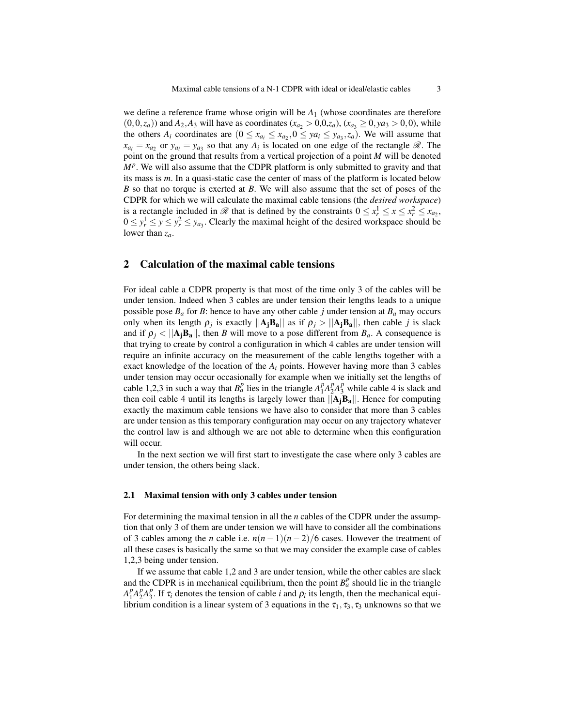we define a reference frame whose origin will be *A*<sup>1</sup> (whose coordinates are therefore  $(0,0,z_a)$ ) and  $A_2$ ,  $A_3$  will have as coordinates ( $x_{a_2} > 0,0,z_a$ ), ( $x_{a_3} \ge 0, y_{a_3} > 0,0$ ), while the others  $A_i$  coordinates are  $(0 \le x_{a_i} \le x_{a_2}, 0 \le ya_i \le y_{a_3}, z_a)$ . We will assume that  $x_{a_i} = x_{a_2}$  or  $y_{a_i} = y_{a_3}$  so that any  $A_i$  is located on one edge of the rectangle  $\mathcal{R}$ . The point on the ground that results from a vertical projection of a point *M* will be denoted *M<sup>p</sup>*. We will also assume that the CDPR platform is only submitted to gravity and that its mass is *m*. In a quasi-static case the center of mass of the platform is located below *B* so that no torque is exerted at *B*. We will also assume that the set of poses of the CDPR for which we will calculate the maximal cable tensions (the *desired workspace*) is a rectangle included in  $\mathcal{R}$  that is defined by the constraints  $0 \le x_r^1 \le x \le x_r^2 \le x_{a_2}$ ,  $0 \le y_r^1 \le y \le y_r^2 \le y_{a_3}$ . Clearly the maximal height of the desired workspace should be lower than *za*.

## 2 Calculation of the maximal cable tensions

For ideal cable a CDPR property is that most of the time only 3 of the cables will be under tension. Indeed when 3 cables are under tension their lengths leads to a unique possible pose  $B_a$  for *B*: hence to have any other cable *j* under tension at  $B_a$  may occurs only when its length  $\rho_j$  is exactly  $||A_jB_a||$  as if  $\rho_j > ||A_jB_a||$ , then cable *j* is slack and if  $\rho_i < ||A_i B_a||$ , then *B* will move to a pose different from  $B_a$ . A consequence is that trying to create by control a configuration in which 4 cables are under tension will require an infinite accuracy on the measurement of the cable lengths together with a exact knowledge of the location of the  $A_i$  points. However having more than 3 cables under tension may occur occasionally for example when we initially set the lengths of cable 1,2,3 in such a way that  $B_a^p$  lies in the triangle  $A_1^p$  $^{p}_{1}A_{2}^{p}$  $_{2}^{p}A_{3}^{p}$  while cable 4 is slack and then coil cable 4 until its lengths is largely lower than  $||A_iB_a||$ . Hence for computing exactly the maximum cable tensions we have also to consider that more than 3 cables are under tension as this temporary configuration may occur on any trajectory whatever the control law is and although we are not able to determine when this configuration will occur.

In the next section we will first start to investigate the case where only 3 cables are under tension, the others being slack.

#### 2.1 Maximal tension with only 3 cables under tension

For determining the maximal tension in all the *n* cables of the CDPR under the assumption that only 3 of them are under tension we will have to consider all the combinations of 3 cables among the *n* cable i.e.  $n(n-1)(n-2)/6$  cases. However the treatment of all these cases is basically the same so that we may consider the example case of cables 1,2,3 being under tension.

If we assume that cable 1,2 and 3 are under tension, while the other cables are slack and the CDPR is in mechanical equilibrium, then the point  $B^p_a$  should lie in the triangle  $A_1^p$  $P_1^pA_2^p$  $^{p}_{2}A_{3}^{p}$ <sup>*p*</sup>, If  $\tau_i$  denotes the tension of cable *i* and  $\rho_i$  its length, then the mechanical equilibrium condition is a linear system of 3 equations in the  $\tau_1, \tau_3, \tau_3$  unknowns so that we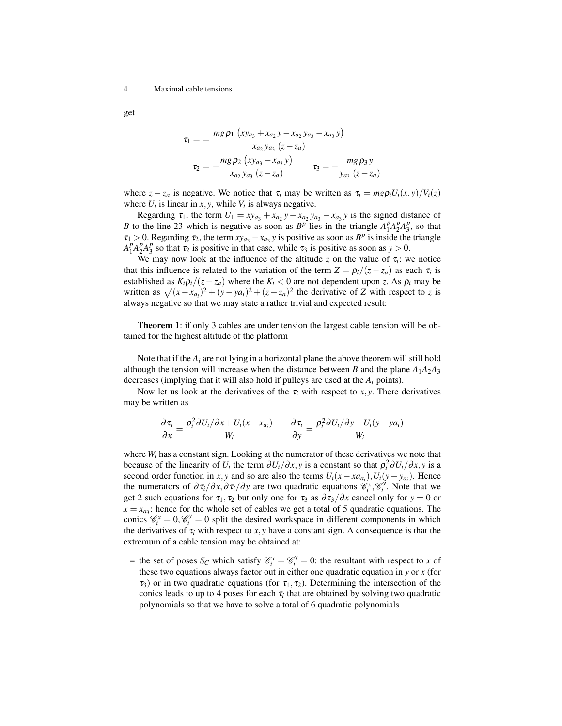get

$$
\tau_1 = \frac{mg \rho_1 (xy_{a_3} + x_{a_2}y - x_{a_2}y_{a_3} - x_{a_3}y)}{x_{a_2}y_{a_3} (z - z_a)}
$$

$$
\tau_2 = -\frac{mg \rho_2 (xy_{a_3} - x_{a_3}y)}{x_{a_2}y_{a_3} (z - z_a)} \qquad \tau_3 = -\frac{mg \rho_3 y}{y_{a_3} (z - z_a)}
$$

where  $z - z_a$  is negative. We notice that  $\tau_i$  may be written as  $\tau_i = m g \rho_i U_i(x, y) / V_i(z)$ where  $U_i$  is linear in *x*, *y*, while  $V_i$  is always negative.

Regarding  $\tau_1$ , the term  $U_1 = xy_{a_3} + x_{a_2}y - x_{a_2}y_{a_3} - x_{a_3}y$  is the signed distance of *B* to the line 23 which is negative as soon as  $B^p$  lies in the triangle  $A_1^p$  ${}_{1}^{p}A_{2}^{p}$  $^{p}_{2}A_{3}^{p}$  $\frac{p}{3}$ , so that  $\tau_1 > 0$ . Regarding  $\tau_2$ , the term  $xy_{a_3} - x_{a_3}y$  is positive as soon as  $B^p$  is inside the triangle  $\overline{A_1^p}$  $P_1^p A_2^p$  $^{p}_{2}A_{3}^{p}$  $\frac{p}{3}$  so that  $\tau_2$  is positive in that case, while  $\tau_3$  is positive as soon as  $y > 0$ .

We may now look at the influence of the altitude  $z$  on the value of  $\tau_i$ : we notice that this influence is related to the variation of the term  $Z = \frac{\rho_i}{(z - z_a)}$  as each  $\tau_i$  is established as  $K_i \rho_i/(z - z_a)$  where the  $K_i < 0$  are not dependent upon *z*. As  $\rho_i$  may be written as  $\sqrt{(x-x_{a_i})^2 + (y-y_{a_i})^2 + (z-z_a)^2}$  the derivative of *Z* with respect to *z* is always negative so that we may state a rather trivial and expected result:

Theorem 1: if only 3 cables are under tension the largest cable tension will be obtained for the highest altitude of the platform

Note that if the  $A_i$  are not lying in a horizontal plane the above theorem will still hold although the tension will increase when the distance between *B* and the plane  $A_1A_2A_3$ decreases (implying that it will also hold if pulleys are used at the *A<sup>i</sup>* points).

Now let us look at the derivatives of the  $\tau_i$  with respect to *x*, *y*. There derivatives may be written as

$$
\frac{\partial \tau_i}{\partial x} = \frac{\rho_i^2 \partial U_i / \partial x + U_i (x - x_{a_i})}{W_i} \qquad \frac{\partial \tau_i}{\partial y} = \frac{\rho_i^2 \partial U_i / \partial y + U_i (y - y_{a_i})}{W_i}
$$

where  $W_i$  has a constant sign. Looking at the numerator of these derivatives we note that because of the linearity of *U<sub>i</sub>* the term  $\partial U_i/\partial x$ , *y* is a constant so that  $\rho_i^2 \partial U_i/\partial x$ , *y* is a second order function in *x*, *y* and so are also the terms  $U_i(x - x a_{a_i})$ ,  $U_i(y - y_{a_i})$ . Hence the numerators of  $\partial \tau_i/\partial x$ , $\partial \tau_i/\partial y$  are two quadratic equations  $\mathscr{C}_i^x$ ,  $\mathscr{C}_i^y$ . Note that we get 2 such equations for  $\tau_1$ ,  $\tau_2$  but only one for  $\tau_3$  as  $\frac{\partial \tau_3}{\partial x}$  cancel only for  $y = 0$  or  $x = x_{a_3}$ : hence for the whole set of cables we get a total of 5 quadratic equations. The conics  $\mathcal{C}_i^x = 0$ ,  $\mathcal{C}_i^y = 0$  split the desired workspace in different components in which the derivatives of  $\tau$ <sub>*i*</sub> with respect to *x*, *y* have a constant sign. A consequence is that the extremum of a cable tension may be obtained at:

- the set of poses  $S_C$  which satisfy  $\mathcal{C}_i^x = \mathcal{C}_i^y = 0$ : the resultant with respect to *x* of these two equations always factor out in either one quadratic equation in *y* or *x* (for  $\tau_3$ ) or in two quadratic equations (for  $\tau_1, \tau_2$ ). Determining the intersection of the conics leads to up to 4 poses for each  $\tau_i$  that are obtained by solving two quadratic polynomials so that we have to solve a total of 6 quadratic polynomials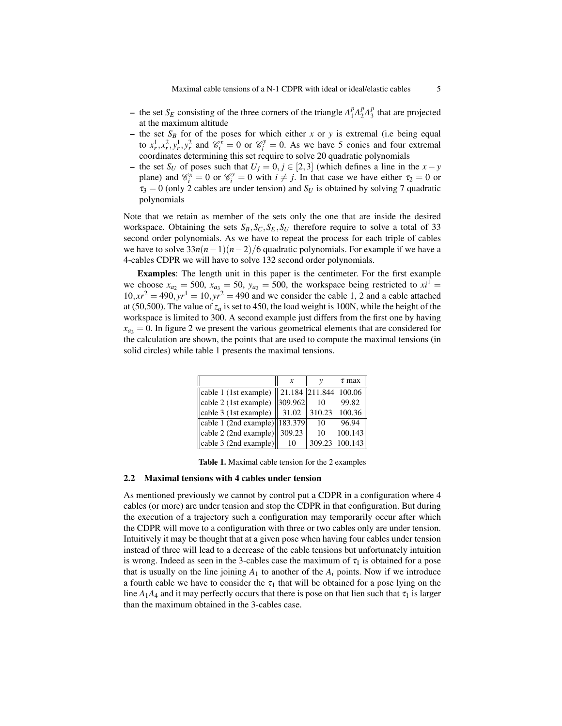- the set  $S_E$  consisting of the three corners of the triangle  $A_1^p$  $P_1^pA_2^p$  $^{p}_{2}A_{3}^{p}$  $\frac{p}{3}$  that are projected at the maximum altitude
- the set  $S_B$  for of the poses for which either *x* or *y* is extremal (i.e being equal to  $x_r^1, x_r^2, y_r^1, y_r^2$  and  $\mathcal{C}_i^x = 0$  or  $\mathcal{C}_i^y = 0$ . As we have 5 conics and four extremal coordinates determining this set require to solve 20 quadratic polynomials
- the set *S<sup>U</sup>* of poses such that *U<sup>j</sup>* = 0, *j* ∈ [2,3] (which defines a line in the *x* − *y* plane) and  $\mathcal{C}_i^x = 0$  or  $\mathcal{C}_i^y = 0$  with  $i \neq j$ . In that case we have either  $\tau_2 = 0$  or  $\tau_3 = 0$  (only 2 cables are under tension) and  $S_U$  is obtained by solving 7 quadratic polynomials

Note that we retain as member of the sets only the one that are inside the desired workspace. Obtaining the sets  $S_B$ ,  $S_C$ ,  $S_E$ ,  $S_U$  therefore require to solve a total of 33 second order polynomials. As we have to repeat the process for each triple of cables we have to solve  $33n(n-1)(n-2)/6$  quadratic polynomials. For example if we have a 4-cables CDPR we will have to solve 132 second order polynomials.

Examples: The length unit in this paper is the centimeter. For the first example we choose  $x_{a_2} = 500$ ,  $x_{a_3} = 50$ ,  $y_{a_3} = 500$ , the workspace being restricted to  $x_i^1 =$  $10, xr^2 = 490, yr^1 = 10, yr^2 = 490$  and we consider the cable 1, 2 and a cable attached at (50,500). The value of  $z_a$  is set to 450, the load weight is 100N, while the height of the workspace is limited to 300. A second example just differs from the first one by having  $x_{a_3} = 0$ . In figure 2 we present the various geometrical elements that are considered for the calculation are shown, the points that are used to compute the maximal tensions (in solid circles) while table 1 presents the maximal tensions.

|                                              | $\boldsymbol{x}$ | ν      | $\tau$ max                            |
|----------------------------------------------|------------------|--------|---------------------------------------|
| $\vert$ cable 1 (1st example)                |                  |        | $\parallel$ 21.184   211.844   100.06 |
| cable 2 (1st example)                        | 309.962          | 10     | 99.82                                 |
| cable 3 (1st example)                        | 31.02            | 310.23 | 100.36                                |
| $\ $ cable 1 (2nd example) $\ $ 183.379      |                  | 10     | 96.94                                 |
| $\vert$ cable 2 (2nd example) $\vert$ 309.23 |                  | 10     | 100.143                               |
| $\ $ cable 3 (2nd example) $\ $              |                  | 309.23 | 100.143                               |

Table 1. Maximal cable tension for the 2 examples

#### 2.2 Maximal tensions with 4 cables under tension

As mentioned previously we cannot by control put a CDPR in a configuration where 4 cables (or more) are under tension and stop the CDPR in that configuration. But during the execution of a trajectory such a configuration may temporarily occur after which the CDPR will move to a configuration with three or two cables only are under tension. Intuitively it may be thought that at a given pose when having four cables under tension instead of three will lead to a decrease of the cable tensions but unfortunately intuition is wrong. Indeed as seen in the 3-cables case the maximum of  $\tau_1$  is obtained for a pose that is usually on the line joining  $A_1$  to another of the  $A_i$  points. Now if we introduce a fourth cable we have to consider the  $\tau_1$  that will be obtained for a pose lying on the line  $A_1A_4$  and it may perfectly occurs that there is pose on that lien such that  $\tau_1$  is larger than the maximum obtained in the 3-cables case.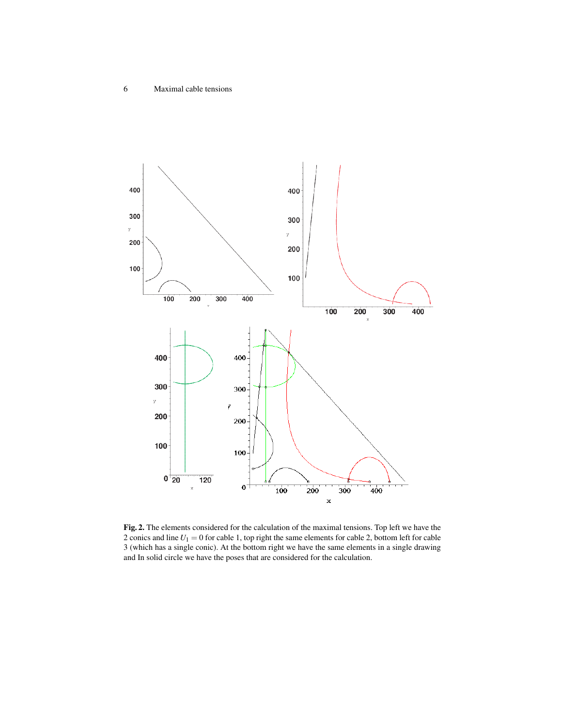

Fig. 2. The elements considered for the calculation of the maximal tensions. Top left we have the 2 conics and line  $U_1 = 0$  for cable 1, top right the same elements for cable 2, bottom left for cable 3 (which has a single conic). At the bottom right we have the same elements in a single drawing and In solid circle we have the poses that are considered for the calculation.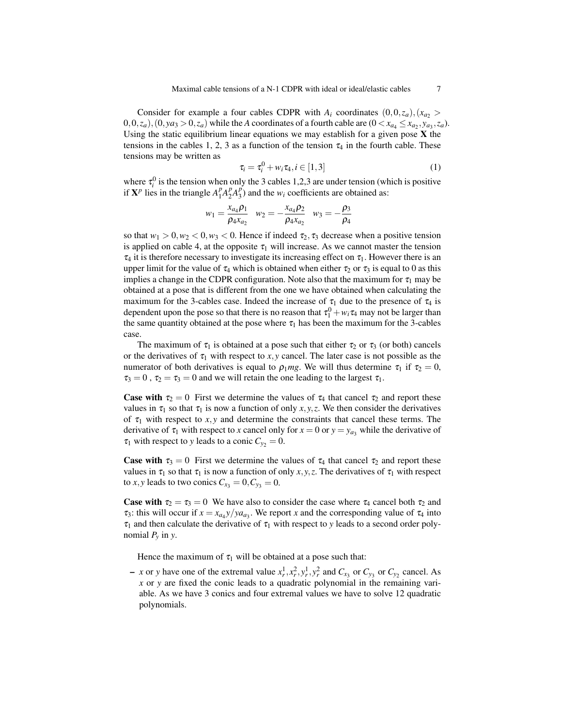Consider for example a four cables CDPR with  $A_i$  coordinates  $(0,0,z_a),(x_a, z_a)$  $(0,0,z_a)$ ,  $(0,ya_3 > 0,z_a)$  while the *A* coordinates of a fourth cable are  $(0 < x_{a_4} \le x_{a_2}, y_{a_3}, z_a)$ . Using the static equilibrium linear equations we may establish for a given pose  $X$  the tensions in the cables 1, 2, 3 as a function of the tension  $\tau_4$  in the fourth cable. These tensions may be written as

$$
\tau_i = \tau_i^0 + w_i \tau_4, i \in [1,3]
$$
\n<sup>(1)</sup>

where  $\tau_i^0$  is the tension when only the 3 cables 1,2,3 are under tension (which is positive if  $X^p$  lies in the triangle  $A_1^p$  $P_1^pA_2^p$  $^{p}_{2}A^{p}_{3}$  $\binom{p}{3}$  and the  $w_i$  coefficients are obtained as:

$$
w_1 = \frac{x_{a_4}\rho_1}{\rho_4 x_{a_2}} \quad w_2 = -\frac{x_{a_4}\rho_2}{\rho_4 x_{a_2}} \quad w_3 = -\frac{\rho_3}{\rho_4}
$$

so that  $w_1 > 0, w_2 < 0, w_3 < 0$ . Hence if indeed  $\tau_2, \tau_3$  decrease when a positive tension is applied on cable 4, at the opposite  $\tau_1$  will increase. As we cannot master the tension  $\tau_4$  it is therefore necessary to investigate its increasing effect on  $\tau_1$ . However there is an upper limit for the value of  $\tau_4$  which is obtained when either  $\tau_2$  or  $\tau_3$  is equal to 0 as this implies a change in the CDPR configuration. Note also that the maximum for  $\tau_1$  may be obtained at a pose that is different from the one we have obtained when calculating the maximum for the 3-cables case. Indeed the increase of  $\tau_1$  due to the presence of  $\tau_4$  is dependent upon the pose so that there is no reason that  $\tau_1^0 + w_i \tau_4$  may not be larger than the same quantity obtained at the pose where  $\tau_1$  has been the maximum for the 3-cables case.

The maximum of  $\tau_1$  is obtained at a pose such that either  $\tau_2$  or  $\tau_3$  (or both) cancels or the derivatives of  $\tau_1$  with respect to *x*, *y* cancel. The later case is not possible as the numerator of both derivatives is equal to  $\rho_1 mg$ . We will thus determine  $\tau_1$  if  $\tau_2 = 0$ ,  $\tau_3 = 0$ ,  $\tau_2 = \tau_3 = 0$  and we will retain the one leading to the largest  $\tau_1$ .

**Case with**  $\tau_2 = 0$  First we determine the values of  $\tau_4$  that cancel  $\tau_2$  and report these values in  $\tau_1$  so that  $\tau_1$  is now a function of only *x*, *y*, *z*. We then consider the derivatives of  $\tau_1$  with respect to *x*, *y* and determine the constraints that cancel these terms. The derivative of  $\tau_1$  with respect to *x* cancel only for  $x = 0$  or  $y = y_a$ , while the derivative of  $\tau_1$  with respect to *y* leads to a conic  $C_{y_2} = 0$ .

**Case with**  $\tau_3 = 0$  First we determine the values of  $\tau_4$  that cancel  $\tau_2$  and report these values in  $\tau_1$  so that  $\tau_1$  is now a function of only *x*, *y*, *z*. The derivatives of  $\tau_1$  with respect to *x*, *y* leads to two conics  $C_{x_3} = 0$ ,  $C_{y_3} = 0$ .

**Case with**  $\tau_2 = \tau_3 = 0$  We have also to consider the case where  $\tau_4$  cancel both  $\tau_2$  and  $\tau_3$ : this will occur if  $x = x_{a}y/ya_{a_3}$ . We report *x* and the corresponding value of  $\tau_4$  into  $\tau_1$  and then calculate the derivative of  $\tau_1$  with respect to *y* leads to a second order polynomial  $P_\nu$  in *y*.

Hence the maximum of  $\tau_1$  will be obtained at a pose such that:

 $- x$  or *y* have one of the extremal value  $x_r^1, x_r^2, y_r^1, y_r^2$  and  $C_{x_3}$  or  $C_{y_3}$  or  $C_{y_2}$  cancel. As *x* or *y* are fixed the conic leads to a quadratic polynomial in the remaining variable. As we have 3 conics and four extremal values we have to solve 12 quadratic polynomials.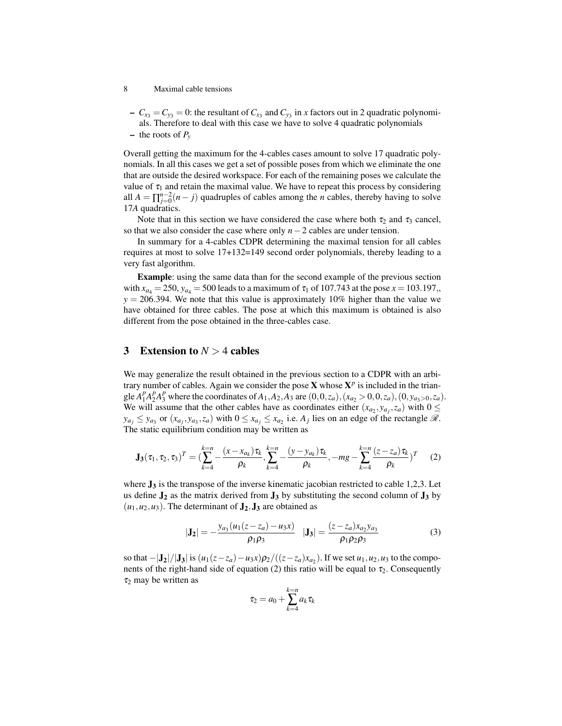- $-C_{x_3} = C_{y_3} = 0$ : the resultant of  $C_{x_3}$  and  $C_{y_3}$  in *x* factors out in 2 quadratic polynomials. Therefore to deal with this case we have to solve 4 quadratic polynomials
- the roots of  $P_v$

Overall getting the maximum for the 4-cables cases amount to solve 17 quadratic polynomials. In all this cases we get a set of possible poses from which we eliminate the one that are outside the desired workspace. For each of the remaining poses we calculate the value of  $\tau_1$  and retain the maximal value. We have to repeat this process by considering all  $A = \prod_{j=0}^{n-2} (n-j)$  quadruples of cables among the *n* cables, thereby having to solve 17*A* quadratics.

Note that in this section we have considered the case where both  $\tau_2$  and  $\tau_3$  cancel, so that we also consider the case where only *n*−2 cables are under tension.

In summary for a 4-cables CDPR determining the maximal tension for all cables requires at most to solve 17+132=149 second order polynomials, thereby leading to a very fast algorithm.

Example: using the same data than for the second example of the previous section with  $x_{a4} = 250$ ,  $y_{a4} = 500$  leads to a maximum of  $\tau_1$  of 107.743 at the pose  $x = 103.197$ ,  $y = 206.394$ . We note that this value is approximately 10% higher than the value we have obtained for three cables. The pose at which this maximum is obtained is also different from the pose obtained in the three-cables case.

# 3 Extension to  $N > 4$  cables

We may generalize the result obtained in the previous section to a CDPR with an arbitrary number of cables. Again we consider the pose  $X$  whose  $X^p$  is included in the triangle  $A_1^p$  $^{p}_{1}A_{2}^{p}$  ${}_{2}^{p}A_{3}^{p}$  where the coordinates of  $A_{1}$ ,  $A_{2}$ ,  $A_{3}$  are  $(0,0,z_{a})$ ,  $(x_{a_{2}} > 0,0,z_{a})$ ,  $(0,y_{a_{3}>0},z_{a})$ . We will assume that the other cables have as coordinates either  $(x_{a_2}, y_{a_j}, z_a)$  with  $0 \leq$  $y_{a_j} \leq y_{a_3}$  or  $(x_{a_j}, y_{a_3}, z_a)$  with  $0 \leq x_{a_j} \leq x_{a_2}$  i.e.  $A_j$  lies on an edge of the rectangle  $\Re$ . The static equilibrium condition may be written as

$$
\mathbf{J}_{3}(\tau_{1},\tau_{2},\tau_{3})^{T}=(\sum_{k=4}^{k=n} -\frac{(x-x_{a_{k}})\tau_{k}}{\rho_{k}},\sum_{k=4}^{k=n} -\frac{(y-y_{a_{k}})\tau_{k}}{\rho_{k}},-mg-\sum_{k=4}^{k=n} \frac{(z-z_{a})\tau_{k}}{\rho_{k}})^{T}
$$
(2)

where  $J_3$  is the transpose of the inverse kinematic jacobian restricted to cable 1,2,3. Let us define  $J_2$  as the matrix derived from  $J_3$  by substituting the second column of  $J_3$  by  $(u_1, u_2, u_3)$ . The determinant of  $\mathbf{J}_2, \mathbf{J}_3$  are obtained as

$$
|\mathbf{J}_2| = -\frac{y_{a_3}(u_1(z-z_a) - u_3x)}{\rho_1 \rho_3} \quad |\mathbf{J}_3| = \frac{(z-z_a)x_{a_2}y_{a_3}}{\rho_1 \rho_2 \rho_3}
$$
(3)

so that  $-|J_2|/|J_3|$  is  $(u_1(z-z_a)-u_3x)\rho_2/((z-z_a)x_{a_2})$ . If we set  $u_1, u_2, u_3$  to the components of the right-hand side of equation (2) this ratio will be equal to  $\tau_2$ . Consequently  $\tau_2$  may be written as

$$
\tau_2 = a_0 + \sum_{k=4}^{k=n} a_k \tau_k
$$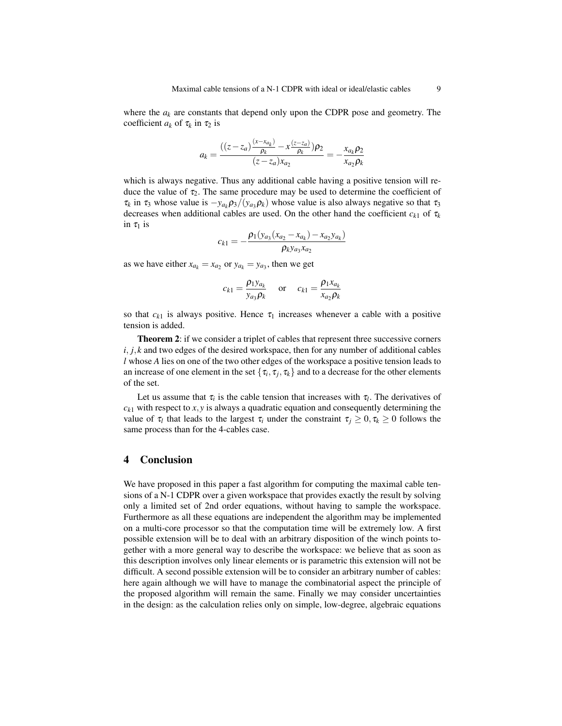where the  $a_k$  are constants that depend only upon the CDPR pose and geometry. The coefficient  $a_k$  of  $\tau_k$  in  $\tau_2$  is

$$
a_k = \frac{((z - z_a)\frac{(x - x_{a_k})}{\rho_k} - x\frac{(z - z_a)}{\rho_k})\rho_2}{(z - z_a)x_{a_2}} = -\frac{x_{a_k}\rho_2}{x_{a_2}\rho_k}
$$

which is always negative. Thus any additional cable having a positive tension will reduce the value of  $\tau_2$ . The same procedure may be used to determine the coefficient of  $\tau_k$  in  $\tau_3$  whose value is  $-y_{a_k} \rho_3/(y_{a_3} \rho_k)$  whose value is also always negative so that  $\tau_3$ decreases when additional cables are used. On the other hand the coefficient  $c_{k1}$  of  $\tau_k$ in  $\tau_1$  is

$$
c_{k1} = -\frac{\rho_1(y_{a_3}(x_{a_2} - x_{a_k}) - x_{a_2}y_{a_k})}{\rho_k y_{a_3}x_{a_2}}
$$

as we have either  $x_{a_k} = x_{a_2}$  or  $y_{a_k} = y_{a_3}$ , then we get

$$
c_{k1} = \frac{\rho_1 y_{a_k}}{y_{a_3} \rho_k} \quad \text{or} \quad c_{k1} = \frac{\rho_1 x_{a_k}}{x_{a_2} \rho_k}
$$

so that  $c_{k1}$  is always positive. Hence  $\tau_1$  increases whenever a cable with a positive tension is added.

Theorem 2: if we consider a triplet of cables that represent three successive corners *i*, *j*, *k* and two edges of the desired workspace, then for any number of additional cables *l* whose *A* lies on one of the two other edges of the workspace a positive tension leads to an increase of one element in the set  $\{\tau_i, \tau_j, \tau_k\}$  and to a decrease for the other elements of the set.

Let us assume that  $\tau_i$  is the cable tension that increases with  $\tau_i$ . The derivatives of  $c_{k1}$  with respect to  $x, y$  is always a quadratic equation and consequently determining the value of  $\tau_l$  that leads to the largest  $\tau_i$  under the constraint  $\tau_j \geq 0, \tau_k \geq 0$  follows the same process than for the 4-cables case.

### 4 Conclusion

We have proposed in this paper a fast algorithm for computing the maximal cable tensions of a N-1 CDPR over a given workspace that provides exactly the result by solving only a limited set of 2nd order equations, without having to sample the workspace. Furthermore as all these equations are independent the algorithm may be implemented on a multi-core processor so that the computation time will be extremely low. A first possible extension will be to deal with an arbitrary disposition of the winch points together with a more general way to describe the workspace: we believe that as soon as this description involves only linear elements or is parametric this extension will not be difficult. A second possible extension will be to consider an arbitrary number of cables: here again although we will have to manage the combinatorial aspect the principle of the proposed algorithm will remain the same. Finally we may consider uncertainties in the design: as the calculation relies only on simple, low-degree, algebraic equations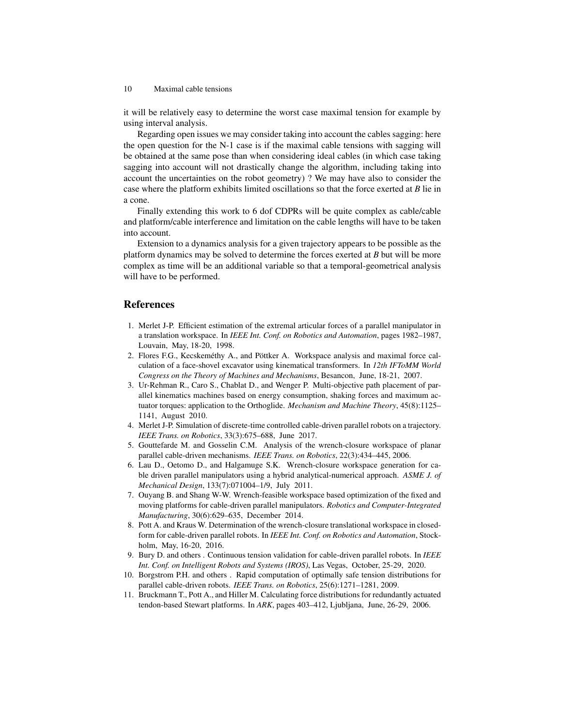it will be relatively easy to determine the worst case maximal tension for example by using interval analysis.

Regarding open issues we may consider taking into account the cables sagging: here the open question for the N-1 case is if the maximal cable tensions with sagging will be obtained at the same pose than when considering ideal cables (in which case taking sagging into account will not drastically change the algorithm, including taking into account the uncertainties on the robot geometry) ? We may have also to consider the case where the platform exhibits limited oscillations so that the force exerted at *B* lie in a cone.

Finally extending this work to 6 dof CDPRs will be quite complex as cable/cable and platform/cable interference and limitation on the cable lengths will have to be taken into account.

Extension to a dynamics analysis for a given trajectory appears to be possible as the platform dynamics may be solved to determine the forces exerted at *B* but will be more complex as time will be an additional variable so that a temporal-geometrical analysis will have to be performed.

## References

- 1. Merlet J-P. Efficient estimation of the extremal articular forces of a parallel manipulator in a translation workspace. In *IEEE Int. Conf. on Robotics and Automation*, pages 1982–1987, Louvain, May, 18-20, 1998.
- 2. Flores F.G., Kecskeméthy A., and Pöttker A. Workspace analysis and maximal force calculation of a face-shovel excavator using kinematical transformers. In *12th IFToMM World Congress on the Theory of Machines and Mechanisms*, Besancon, June, 18-21, 2007.
- 3. Ur-Rehman R., Caro S., Chablat D., and Wenger P. Multi-objective path placement of parallel kinematics machines based on energy consumption, shaking forces and maximum actuator torques: application to the Orthoglide. *Mechanism and Machine Theory*, 45(8):1125– 1141, August 2010.
- 4. Merlet J-P. Simulation of discrete-time controlled cable-driven parallel robots on a trajectory. *IEEE Trans. on Robotics*, 33(3):675–688, June 2017.
- 5. Gouttefarde M. and Gosselin C.M. Analysis of the wrench-closure workspace of planar parallel cable-driven mechanisms. *IEEE Trans. on Robotics*, 22(3):434–445, 2006.
- 6. Lau D., Oetomo D., and Halgamuge S.K. Wrench-closure workspace generation for cable driven parallel manipulators using a hybrid analytical-numerical approach. *ASME J. of Mechanical Design*, 133(7):071004–1/9, July 2011.
- 7. Ouyang B. and Shang W-W. Wrench-feasible workspace based optimization of the fixed and moving platforms for cable-driven parallel manipulators. *Robotics and Computer-Integrated Manufacturing*, 30(6):629–635, December 2014.
- 8. Pott A. and Kraus W. Determination of the wrench-closure translational workspace in closedform for cable-driven parallel robots. In *IEEE Int. Conf. on Robotics and Automation*, Stockholm, May, 16-20, 2016.
- 9. Bury D. and others . Continuous tension validation for cable-driven parallel robots. In *IEEE Int. Conf. on Intelligent Robots and Systems (IROS)*, Las Vegas, October, 25-29, 2020.
- 10. Borgstrom P.H. and others . Rapid computation of optimally safe tension distributions for parallel cable-driven robots. *IEEE Trans. on Robotics*, 25(6):1271–1281, 2009.
- 11. Bruckmann T., Pott A., and Hiller M. Calculating force distributions for redundantly actuated tendon-based Stewart platforms. In *ARK*, pages 403–412, Ljubljana, June, 26-29, 2006.